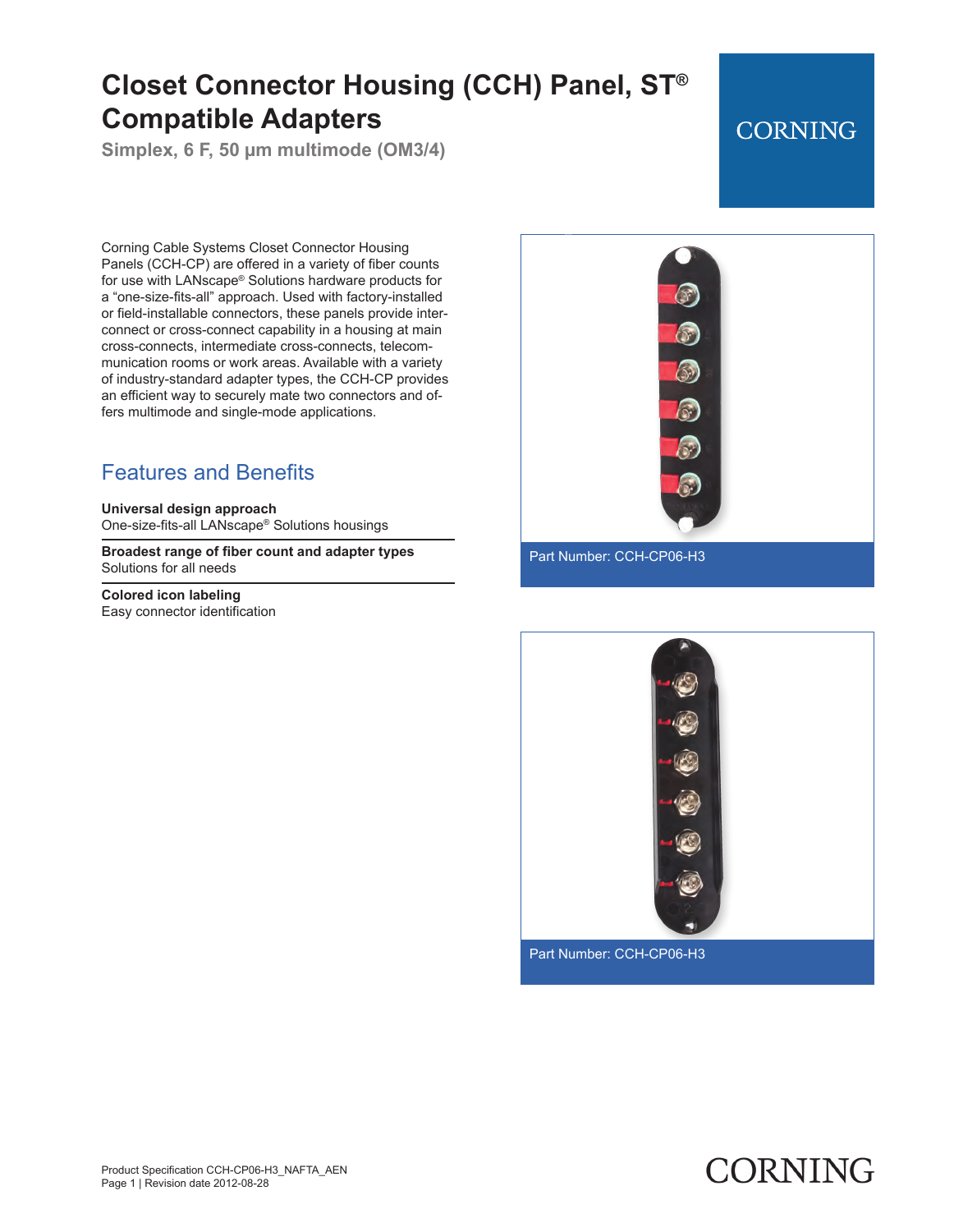# **Closet Connector Housing (CCH) Panel, ST® Compatible Adapters**

**Simplex, 6 F, 50 µm multimode (OM3/4)**

## **CORNING**

Corning Cable Systems Closet Connector Housing Panels (CCH-CP) are offered in a variety of fiber counts for use with LANscape® Solutions hardware products for a "one-size-fits-all" approach. Used with factory-installed or field-installable connectors, these panels provide interconnect or cross-connect capability in a housing at main cross-connects, intermediate cross-connects, telecommunication rooms or work areas. Available with a variety of industry-standard adapter types, the CCH-CP provides an efficient way to securely mate two connectors and offers multimode and single-mode applications.

### Features and Benefits

**Universal design approach** One-size-fits-all LANscape® Solutions housings

**Broadest range of fiber count and adapter types** Solutions for all needs

**Colored icon labeling** Easy connector identification





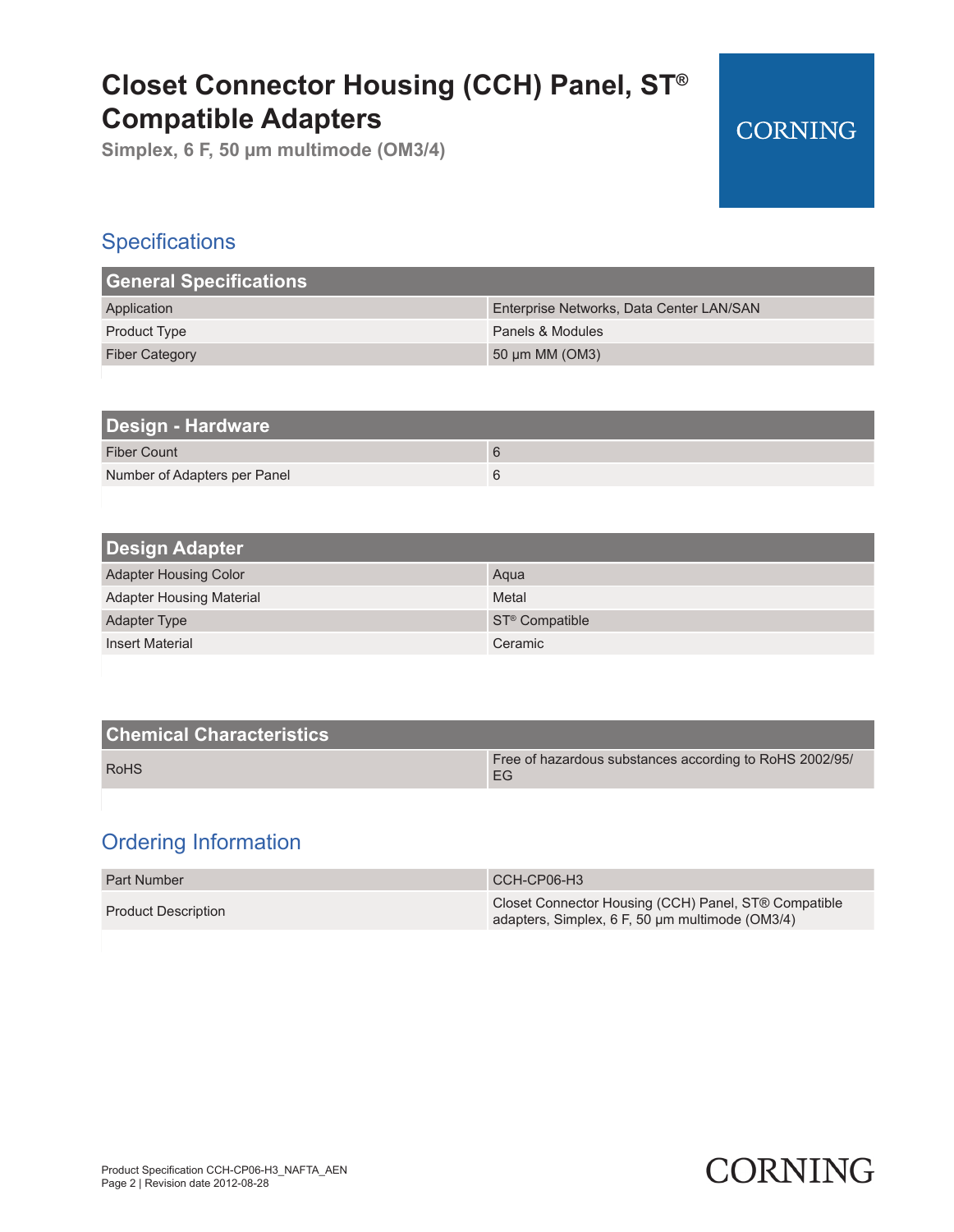## **Closet Connector Housing (CCH) Panel, ST® Compatible Adapters**

**Simplex, 6 F, 50 µm multimode (OM3/4)**

### **Specifications**

| <b>General Specifications</b> |                                          |
|-------------------------------|------------------------------------------|
| Application                   | Enterprise Networks, Data Center LAN/SAN |
| <b>Product Type</b>           | Panels & Modules                         |
| <b>Fiber Category</b>         | 50 $\mu$ m MM (OM3)                      |

| Design - Hardware            |   |
|------------------------------|---|
| <b>Fiber Count</b>           | 6 |
| Number of Adapters per Panel | 6 |

| <b>Design Adapter</b>           |                            |  |
|---------------------------------|----------------------------|--|
| <b>Adapter Housing Color</b>    | Agua                       |  |
| <b>Adapter Housing Material</b> | Metal                      |  |
| <b>Adapter Type</b>             | ST <sup>®</sup> Compatible |  |
| <b>Insert Material</b>          | Ceramic                    |  |

| <b>Chemical Characteristics</b> |                                                               |
|---------------------------------|---------------------------------------------------------------|
| <b>RoHS</b>                     | Free of hazardous substances according to RoHS 2002/95/<br>EG |

### Ordering Information

| <b>Part Number</b>         | CCH-CP06-H3                                                                                             |
|----------------------------|---------------------------------------------------------------------------------------------------------|
| <b>Product Description</b> | Closet Connector Housing (CCH) Panel, ST® Compatible<br>adapters, Simplex, 6 F, 50 um multimode (OM3/4) |